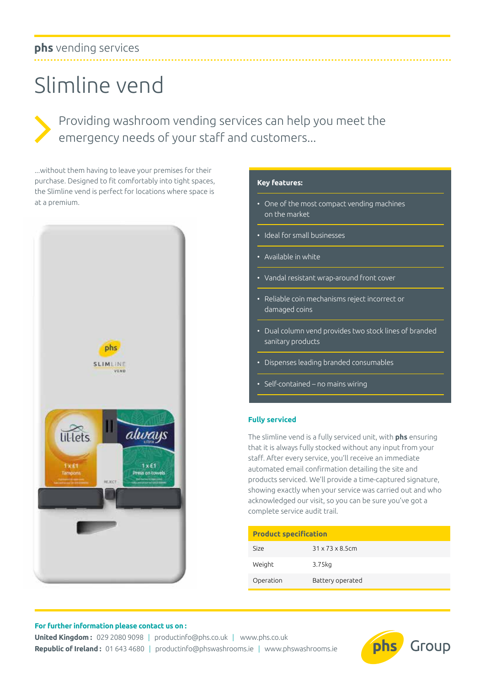# **phs** vending services

# Slimline vend

Providing washroom vending services can help you meet the emergency needs of your staff and customers...

...without them having to leave your premises for their purchase. Designed to fit comfortably into tight spaces, the Slimline vend is perfect for locations where space is at a premium.



#### **Key features:**

- One of the most compact vending machines on the market
- Ideal for small businesses
- Available in white
- Vandal resistant wrap-around front cover
- Reliable coin mechanisms reject incorrect or damaged coins
- Dual column vend provides two stock lines of branded sanitary products
- Dispenses leading branded consumables
- Self-contained no mains wiring

#### **Fully serviced**

The slimline vend is a fully serviced unit, with **phs** ensuring that it is always fully stocked without any input from your staff. After every service, you'll receive an immediate automated email confirmation detailing the site and products serviced. We'll provide a time-captured signature, showing exactly when your service was carried out and who acknowledged our visit, so you can be sure you've got a complete service audit trail.

| <b>Product specification</b> |                              |
|------------------------------|------------------------------|
| Size                         | $31 \times 73 \times 8.5$ cm |
| Weight                       | 3.75kg                       |
| Operation                    | Battery operated             |

#### **For further information please contact us on :**